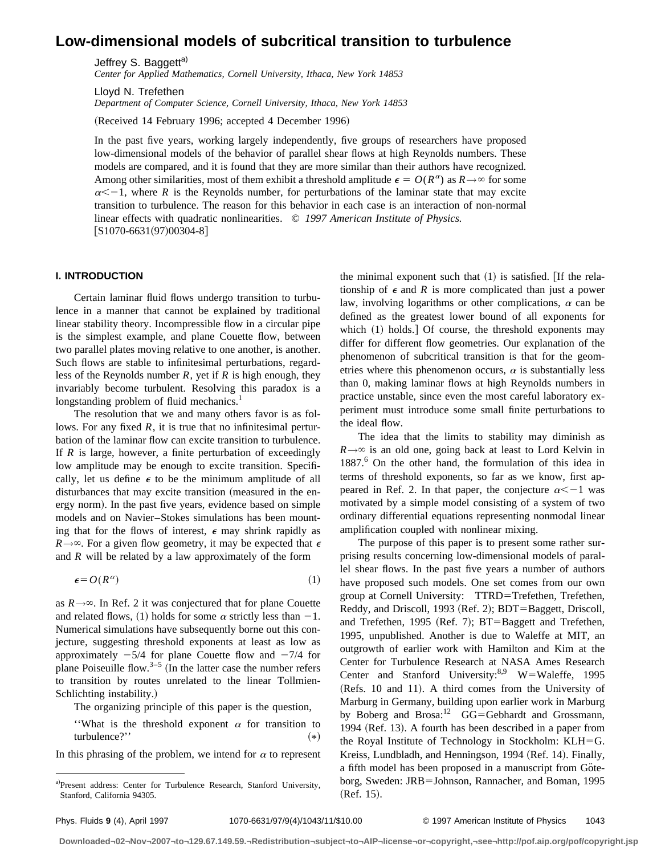# **Low-dimensional models of subcritical transition to turbulence**

Jeffrey S. Baggett<sup>a)</sup>

*Center for Applied Mathematics, Cornell University, Ithaca, New York 14853*

Lloyd N. Trefethen

*Department of Computer Science, Cornell University, Ithaca, New York 14853*

(Received 14 February 1996; accepted 4 December 1996)

In the past five years, working largely independently, five groups of researchers have proposed low-dimensional models of the behavior of parallel shear flows at high Reynolds numbers. These models are compared, and it is found that they are more similar than their authors have recognized. Among other similarities, most of them exhibit a threshold amplitude  $\epsilon = O(R^{\alpha})$  as  $R \rightarrow \infty$  for some  $\alpha < -1$ , where *R* is the Reynolds number, for perturbations of the laminar state that may excite transition to turbulence. The reason for this behavior in each case is an interaction of non-normal linear effects with quadratic nonlinearities. © *1997 American Institute of Physics.*  $[S1070-6631(97)00304-8]$ 

### **I. INTRODUCTION**

Certain laminar fluid flows undergo transition to turbulence in a manner that cannot be explained by traditional linear stability theory. Incompressible flow in a circular pipe is the simplest example, and plane Couette flow, between two parallel plates moving relative to one another, is another. Such flows are stable to infinitesimal perturbations, regardless of the Reynolds number *R*, yet if *R* is high enough, they invariably become turbulent. Resolving this paradox is a longstanding problem of fluid mechanics.<sup>1</sup>

The resolution that we and many others favor is as follows. For any fixed  $R$ , it is true that no infinitesimal perturbation of the laminar flow can excite transition to turbulence. If *R* is large, however, a finite perturbation of exceedingly low amplitude may be enough to excite transition. Specifically, let us define  $\epsilon$  to be the minimum amplitude of all disturbances that may excite transition (measured in the energy norm). In the past five years, evidence based on simple models and on Navier–Stokes simulations has been mounting that for the flows of interest,  $\epsilon$  may shrink rapidly as  $R\rightarrow\infty$ . For a given flow geometry, it may be expected that  $\epsilon$ and *R* will be related by a law approximately of the form

$$
\epsilon = O(R^{\alpha}) \tag{1}
$$

as  $R \rightarrow \infty$ . In Ref. 2 it was conjectured that for plane Couette and related flows, (1) holds for some  $\alpha$  strictly less than  $-1$ . Numerical simulations have subsequently borne out this conjecture, suggesting threshold exponents at least as low as approximately  $-5/4$  for plane Couette flow and  $-7/4$  for plane Poiseuille flow.<sup>3–5</sup> (In the latter case the number refers to transition by routes unrelated to the linear Tollmien-Schlichting instability.)

The organizing principle of this paper is the question,

"What is the threshold exponent  $\alpha$  for transition to turbulence?''  $(*)$ 

In this phrasing of the problem, we intend for  $\alpha$  to represent

the minimal exponent such that  $(1)$  is satisfied. [If the relationship of  $\epsilon$  and  $R$  is more complicated than just a power law, involving logarithms or other complications,  $\alpha$  can be defined as the greatest lower bound of all exponents for which  $(1)$  holds.  $\overline{)}$  Of course, the threshold exponents may differ for different flow geometries. Our explanation of the phenomenon of subcritical transition is that for the geometries where this phenomenon occurs,  $\alpha$  is substantially less than 0, making laminar flows at high Reynolds numbers in practice unstable, since even the most careful laboratory experiment must introduce some small finite perturbations to the ideal flow.

The idea that the limits to stability may diminish as  $R \rightarrow \infty$  is an old one, going back at least to Lord Kelvin in 1887.6 On the other hand, the formulation of this idea in terms of threshold exponents, so far as we know, first appeared in Ref. 2. In that paper, the conjecture  $\alpha < -1$  was motivated by a simple model consisting of a system of two ordinary differential equations representing nonmodal linear amplification coupled with nonlinear mixing.

The purpose of this paper is to present some rather surprising results concerning low-dimensional models of parallel shear flows. In the past five years a number of authors have proposed such models. One set comes from our own group at Cornell University: TTRD=Trefethen, Trefethen, Reddy, and Driscoll, 1993 (Ref. 2); BDT=Baggett, Driscoll, and Trefethen, 1995 (Ref. 7);  $BT=Bagger$  and Trefethen, 1995, unpublished. Another is due to Waleffe at MIT, an outgrowth of earlier work with Hamilton and Kim at the Center for Turbulence Research at NASA Ames Research Center and Stanford University:  $W = W$ aleffe, 1995 (Refs. 10 and 11). A third comes from the University of Marburg in Germany, building upon earlier work in Marburg by Boberg and Brosa:<sup>12</sup> GG=Gebhardt and Grossmann, 1994 (Ref. 13). A fourth has been described in a paper from the Royal Institute of Technology in Stockholm:  $KLH = G$ . Kreiss, Lundbladh, and Henningson, 1994 (Ref. 14). Finally, a fifth model has been proposed in a manuscript from Göteborg, Sweden: JRB=Johnson, Rannacher, and Boman, 1995  $(Ref. 15).$ 

a)Present address: Center for Turbulence Research, Stanford University, Stanford, California 94305.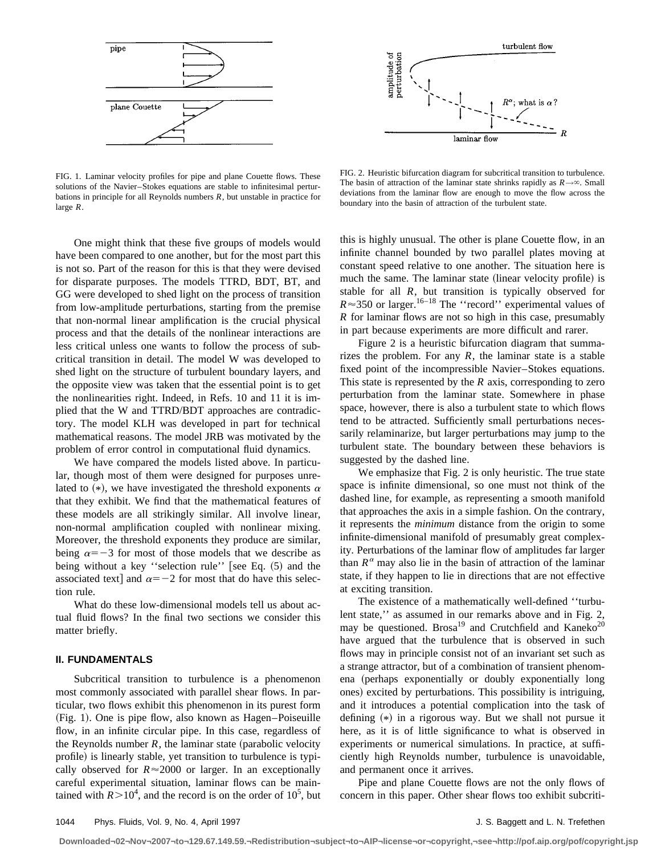

FIG. 1. Laminar velocity profiles for pipe and plane Couette flows. These solutions of the Navier–Stokes equations are stable to infinitesimal perturbations in principle for all Reynolds numbers *R*, but unstable in practice for large *R*.

One might think that these five groups of models would have been compared to one another, but for the most part this is not so. Part of the reason for this is that they were devised for disparate purposes. The models TTRD, BDT, BT, and GG were developed to shed light on the process of transition from low-amplitude perturbations, starting from the premise that non-normal linear amplification is the crucial physical process and that the details of the nonlinear interactions are less critical unless one wants to follow the process of subcritical transition in detail. The model W was developed to shed light on the structure of turbulent boundary layers, and the opposite view was taken that the essential point is to get the nonlinearities right. Indeed, in Refs. 10 and 11 it is implied that the W and TTRD/BDT approaches are contradictory. The model KLH was developed in part for technical mathematical reasons. The model JRB was motivated by the problem of error control in computational fluid dynamics.

We have compared the models listed above. In particular, though most of them were designed for purposes unrelated to  $(*)$ , we have investigated the threshold exponents  $\alpha$ that they exhibit. We find that the mathematical features of these models are all strikingly similar. All involve linear, non-normal amplification coupled with nonlinear mixing. Moreover, the threshold exponents they produce are similar, being  $\alpha=-3$  for most of those models that we describe as being without a key "selection rule" [see Eq.  $(5)$  and the associated text] and  $\alpha = -2$  for most that do have this selection rule.

What do these low-dimensional models tell us about actual fluid flows? In the final two sections we consider this matter briefly.

# **II. FUNDAMENTALS**

Subcritical transition to turbulence is a phenomenon most commonly associated with parallel shear flows. In particular, two flows exhibit this phenomenon in its purest form (Fig. 1). One is pipe flow, also known as Hagen–Poiseuille flow, in an infinite circular pipe. In this case, regardless of the Reynolds number  $R$ , the laminar state (parabolic velocity profile) is linearly stable, yet transition to turbulence is typically observed for  $R \approx 2000$  or larger. In an exceptionally careful experimental situation, laminar flows can be maintained with  $R > 10^4$ , and the record is on the order of  $10^5$ , but



FIG. 2. Heuristic bifurcation diagram for subcritical transition to turbulence. The basin of attraction of the laminar state shrinks rapidly as  $R \rightarrow \infty$ . Small deviations from the laminar flow are enough to move the flow across the boundary into the basin of attraction of the turbulent state.

this is highly unusual. The other is plane Couette flow, in an infinite channel bounded by two parallel plates moving at constant speed relative to one another. The situation here is much the same. The laminar state (linear velocity profile) is stable for all *R*, but transition is typically observed for  $R \approx 350$  or larger.<sup>16–18</sup> The "record" experimental values of *R* for laminar flows are not so high in this case, presumably in part because experiments are more difficult and rarer.

Figure 2 is a heuristic bifurcation diagram that summarizes the problem. For any  $R$ , the laminar state is a stable fixed point of the incompressible Navier–Stokes equations. This state is represented by the *R* axis, corresponding to zero perturbation from the laminar state. Somewhere in phase space, however, there is also a turbulent state to which flows tend to be attracted. Sufficiently small perturbations necessarily relaminarize, but larger perturbations may jump to the turbulent state. The boundary between these behaviors is suggested by the dashed line.

We emphasize that Fig. 2 is only heuristic. The true state space is infinite dimensional, so one must not think of the dashed line, for example, as representing a smooth manifold that approaches the axis in a simple fashion. On the contrary, it represents the *minimum* distance from the origin to some infinite-dimensional manifold of presumably great complexity. Perturbations of the laminar flow of amplitudes far larger than  $R^{\alpha}$  may also lie in the basin of attraction of the laminar state, if they happen to lie in directions that are not effective at exciting transition.

The existence of a mathematically well-defined ''turbulent state,'' as assumed in our remarks above and in Fig. 2, may be questioned. Brosa<sup>19</sup> and Crutchfield and Kaneko<sup>20</sup> have argued that the turbulence that is observed in such flows may in principle consist not of an invariant set such as a strange attractor, but of a combination of transient phenomena (perhaps exponentially or doubly exponentially long ones) excited by perturbations. This possibility is intriguing, and it introduces a potential complication into the task of defining  $(*)$  in a rigorous way. But we shall not pursue it here, as it is of little significance to what is observed in experiments or numerical simulations. In practice, at sufficiently high Reynolds number, turbulence is unavoidable, and permanent once it arrives.

Pipe and plane Couette flows are not the only flows of concern in this paper. Other shear flows too exhibit subcriti-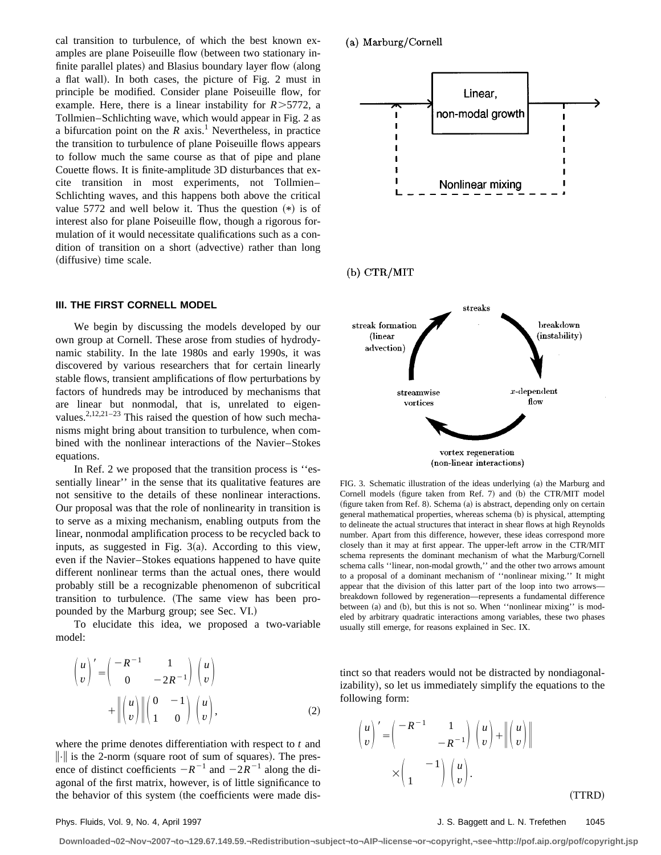cal transition to turbulence, of which the best known examples are plane Poiseuille flow (between two stationary infinite parallel plates) and Blasius boundary layer flow (along a flat wall). In both cases, the picture of Fig. 2 must in principle be modified. Consider plane Poiseuille flow, for example. Here, there is a linear instability for  $R > 5772$ , a Tollmien–Schlichting wave, which would appear in Fig. 2 as a bifurcation point on the  $R$  axis.<sup>1</sup> Nevertheless, in practice the transition to turbulence of plane Poiseuille flows appears to follow much the same course as that of pipe and plane Couette flows. It is finite-amplitude 3D disturbances that excite transition in most experiments, not Tollmien– Schlichting waves, and this happens both above the critical value 5772 and well below it. Thus the question  $(*)$  is of interest also for plane Poiseuille flow, though a rigorous formulation of it would necessitate qualifications such as a condition of transition on a short (advective) rather than long (diffusive) time scale.

### **III. THE FIRST CORNELL MODEL**

We begin by discussing the models developed by our own group at Cornell. These arose from studies of hydrodynamic stability. In the late 1980s and early 1990s, it was discovered by various researchers that for certain linearly stable flows, transient amplifications of flow perturbations by factors of hundreds may be introduced by mechanisms that are linear but nonmodal, that is, unrelated to eigenvalues.<sup>2,12,21–23</sup> This raised the question of how such mechanisms might bring about transition to turbulence, when combined with the nonlinear interactions of the Navier–Stokes equations.

In Ref. 2 we proposed that the transition process is ''essentially linear'' in the sense that its qualitative features are not sensitive to the details of these nonlinear interactions. Our proposal was that the role of nonlinearity in transition is to serve as a mixing mechanism, enabling outputs from the linear, nonmodal amplification process to be recycled back to inputs, as suggested in Fig.  $3(a)$ . According to this view, even if the Navier–Stokes equations happened to have quite different nonlinear terms than the actual ones, there would probably still be a recognizable phenomenon of subcritical transition to turbulence. (The same view has been propounded by the Marburg group; see Sec. VI.)

To elucidate this idea, we proposed a two-variable model:

$$
\begin{pmatrix} u \\ v \end{pmatrix}' = \begin{pmatrix} -R^{-1} & 1 \\ 0 & -2R^{-1} \end{pmatrix} \begin{pmatrix} u \\ v \end{pmatrix} + \left\| \begin{pmatrix} u \\ v \end{pmatrix} \right\| \begin{pmatrix} 0 & -1 \\ 1 & 0 \end{pmatrix} \begin{pmatrix} u \\ v \end{pmatrix},
$$
 (2)

where the prime denotes differentiation with respect to *t* and  $\|\cdot\|$  is the 2-norm (square root of sum of squares). The presence of distinct coefficients  $-R^{-1}$  and  $-2R^{-1}$  along the diagonal of the first matrix, however, is of little significance to the behavior of this system (the coefficients were made dis-

# (a) Marburg/Cornell



vortex regeneration (non-linear interactions)

FIG. 3. Schematic illustration of the ideas underlying (a) the Marburg and Cornell models (figure taken from Ref. 7) and (b) the CTR/MIT model  $(n + 1)$  (figure taken from Ref. 8). Schema  $(a)$  is abstract, depending only on certain general mathematical properties, whereas schema (b) is physical, attempting to delineate the actual structures that interact in shear flows at high Reynolds number. Apart from this difference, however, these ideas correspond more closely than it may at first appear. The upper-left arrow in the CTR/MIT schema represents the dominant mechanism of what the Marburg/Cornell schema calls ''linear, non-modal growth,'' and the other two arrows amount to a proposal of a dominant mechanism of ''nonlinear mixing.'' It might appear that the division of this latter part of the loop into two arrows breakdown followed by regeneration—represents a fundamental difference between (a) and (b), but this is not so. When "nonlinear mixing" is modeled by arbitrary quadratic interactions among variables, these two phases usually still emerge, for reasons explained in Sec. IX.

tinct so that readers would not be distracted by nondiagonalizability), so let us immediately simplify the equations to the following form:

$$
\begin{pmatrix} u \\ v \end{pmatrix}' = \begin{pmatrix} -R^{-1} & 1 \\ & -R^{-1} \end{pmatrix} \begin{pmatrix} u \\ v \end{pmatrix} + \left\| \begin{pmatrix} u \\ v \end{pmatrix} \right\| \\ \times \begin{pmatrix} 1 & 1 \\ 1 & 0 \end{pmatrix} \begin{pmatrix} u \\ v \end{pmatrix}.
$$

Phys. Fluids, Vol. 9, No. 4, April 1997 **Matter and Strutter and Strutter and Strutter and Strutter and Strutter A** 

~TTRD!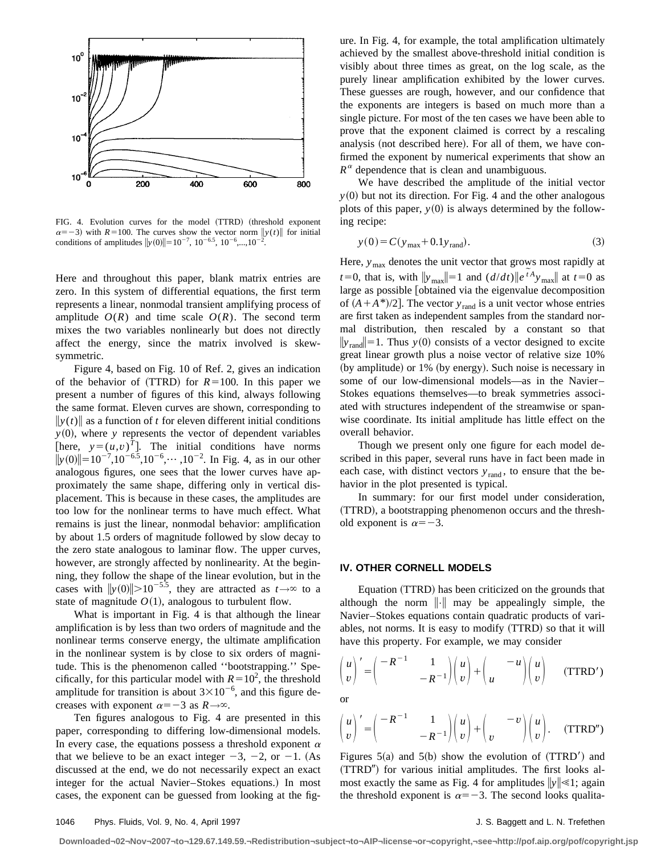

FIG. 4. Evolution curves for the model (TTRD) (threshold exponent  $\alpha = -3$ ) with *R*=100. The curves show the vector norm  $\|y(t)\|$  for initial conditions of amplitudes  $||y(0)|| = 10^{-7}$ ,  $10^{-6.5}$ ,  $10^{-6}$ ,..., $10^{-2}$ .

Here and throughout this paper, blank matrix entries are zero. In this system of differential equations, the first term represents a linear, nonmodal transient amplifying process of amplitude  $O(R)$  and time scale  $O(R)$ . The second term mixes the two variables nonlinearly but does not directly affect the energy, since the matrix involved is skewsymmetric.

Figure 4, based on Fig. 10 of Ref. 2, gives an indication of the behavior of  $(TTRD)$  for  $R=100$ . In this paper we present a number of figures of this kind, always following the same format. Eleven curves are shown, corresponding to  $\|y(t)\|$  as a function of *t* for eleven different initial conditions  $y(0)$ , where *y* represents the vector of dependent variables [here,  $y=(u,v)^T$ ]. The initial conditions have norms  $||y(0)|| = 10^{-7}$ ,10<sup>-6.5</sup>,10<sup>-6</sup>,…,10<sup>-2</sup>. In Fig. 4, as in our other analogous figures, one sees that the lower curves have approximately the same shape, differing only in vertical displacement. This is because in these cases, the amplitudes are too low for the nonlinear terms to have much effect. What remains is just the linear, nonmodal behavior: amplification by about 1.5 orders of magnitude followed by slow decay to the zero state analogous to laminar flow. The upper curves, however, are strongly affected by nonlinearity. At the beginning, they follow the shape of the linear evolution, but in the cases with  $\|y(0)\| > 10^{-5.5}$ , they are attracted as  $t \to \infty$  to a state of magnitude  $O(1)$ , analogous to turbulent flow.

What is important in Fig. 4 is that although the linear amplification is by less than two orders of magnitude and the nonlinear terms conserve energy, the ultimate amplification in the nonlinear system is by close to six orders of magnitude. This is the phenomenon called ''bootstrapping.'' Specifically, for this particular model with  $R=10^2$ , the threshold amplitude for transition is about  $3\times10^{-6}$ , and this figure decreases with exponent  $\alpha=-3$  as  $R\rightarrow\infty$ .

Ten figures analogous to Fig. 4 are presented in this paper, corresponding to differing low-dimensional models. In every case, the equations possess a threshold exponent  $\alpha$ that we believe to be an exact integer  $-3$ ,  $-2$ , or  $-1$ . (As discussed at the end, we do not necessarily expect an exact integer for the actual Navier–Stokes equations.) In most cases, the exponent can be guessed from looking at the figure. In Fig. 4, for example, the total amplification ultimately achieved by the smallest above-threshold initial condition is visibly about three times as great, on the log scale, as the purely linear amplification exhibited by the lower curves. These guesses are rough, however, and our confidence that the exponents are integers is based on much more than a single picture. For most of the ten cases we have been able to prove that the exponent claimed is correct by a rescaling analysis (not described here). For all of them, we have confirmed the exponent by numerical experiments that show an  $R^{\alpha}$  dependence that is clean and unambiguous.

We have described the amplitude of the initial vector  $y(0)$  but not its direction. For Fig. 4 and the other analogous plots of this paper,  $y(0)$  is always determined by the following recipe:

$$
y(0) = C(y_{\text{max}} + 0.1y_{\text{rand}}).
$$
 (3)

Here,  $y_{\text{max}}$  denotes the unit vector that grows most rapidly at *t*=0, that is, with  $\|y_{\text{max}}\| = 1$  and  $(d/dt) \|e^{tA}y_{\text{max}}\|$  at  $t=0$  as large as possible [obtained via the eigenvalue decomposition of  $(A + A^*)/2$ . The vector  $y_{rand}$  is a unit vector whose entries are first taken as independent samples from the standard normal distribution, then rescaled by a constant so that  $||y_{rand}||=1$ . Thus *y*(0) consists of a vector designed to excite great linear growth plus a noise vector of relative size 10% (by amplitude) or  $1\%$  (by energy). Such noise is necessary in some of our low-dimensional models—as in the Navier– Stokes equations themselves—to break symmetries associated with structures independent of the streamwise or spanwise coordinate. Its initial amplitude has little effect on the overall behavior.

Though we present only one figure for each model described in this paper, several runs have in fact been made in each case, with distinct vectors  $y_{\text{rand}}$ , to ensure that the behavior in the plot presented is typical.

In summary: for our first model under consideration, (TTRD), a bootstrapping phenomenon occurs and the threshold exponent is  $\alpha = -3$ .

### **IV. OTHER CORNELL MODELS**

Equation (TTRD) has been criticized on the grounds that although the norm  $\|\cdot\|$  may be appealingly simple, the Navier–Stokes equations contain quadratic products of variables, not norms. It is easy to modify (TTRD) so that it will have this property. For example, we may consider

$$
\begin{pmatrix} u \\ v \end{pmatrix}' = \begin{pmatrix} -R^{-1} & 1 \\ -R^{-1} \end{pmatrix} \begin{pmatrix} u \\ v \end{pmatrix} + \begin{pmatrix} -u \\ u \end{pmatrix} \begin{pmatrix} u \\ v \end{pmatrix} \quad (\text{TTRD}')
$$

or

$$
\begin{pmatrix} u \\ v \end{pmatrix}' = \begin{pmatrix} -R^{-1} & 1 \\ -R^{-1} \end{pmatrix} \begin{pmatrix} u \\ v \end{pmatrix} + \begin{pmatrix} -v \\ v \end{pmatrix} \begin{pmatrix} u \\ v \end{pmatrix}.
$$
 (TTRD")

Figures  $5(a)$  and  $5(b)$  show the evolution of  $(TTRD')$  and  $(TTRD'')$  for various initial amplitudes. The first looks almost exactly the same as Fig. 4 for amplitudes  $\|y\| \leq 1$ ; again the threshold exponent is  $\alpha=-3$ . The second looks qualita-

**Downloaded¬02¬Nov¬2007¬to¬129.67.149.59.¬Redistribution¬subject¬to¬AIP¬license¬or¬copyright,¬see¬http://pof.aip.org/pof/copyright.jsp**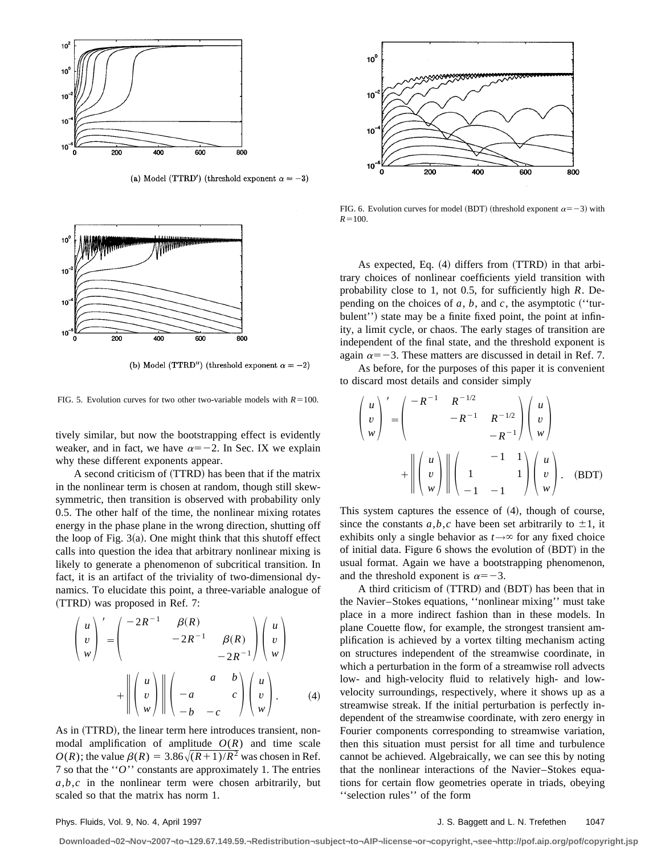

(a) Model (TTRD') (threshold exponent  $\alpha = -3$ )



(b) Model (TTRD") (threshold exponent  $\alpha = -2$ )

FIG. 5. Evolution curves for two other two-variable models with  $R=100$ .

tively similar, but now the bootstrapping effect is evidently weaker, and in fact, we have  $\alpha=-2$ . In Sec. IX we explain why these different exponents appear.

A second criticism of  $(TTRD)$  has been that if the matrix in the nonlinear term is chosen at random, though still skewsymmetric, then transition is observed with probability only 0.5. The other half of the time, the nonlinear mixing rotates energy in the phase plane in the wrong direction, shutting off the loop of Fig.  $3(a)$ . One might think that this shutoff effect calls into question the idea that arbitrary nonlinear mixing is likely to generate a phenomenon of subcritical transition. In fact, it is an artifact of the triviality of two-dimensional dynamics. To elucidate this point, a three-variable analogue of  $(TTRD)$  was proposed in Ref. 7:

$$
\begin{pmatrix}\nu \\ v \\ w \end{pmatrix}' = \begin{pmatrix}\n-2R^{-1} & \beta(R) \\ -2R^{-1} & \beta(R) \\ -2R^{-1} \end{pmatrix} \begin{pmatrix}\nu \\ v \\ w \end{pmatrix}
$$

$$
+ \left\| \begin{pmatrix}\nu \\ v \\ w \end{pmatrix} \right\| \begin{pmatrix}\n-a & b \\ -a & c \\ -b & -c \end{pmatrix} \begin{pmatrix}\nu \\ v \\ w \end{pmatrix}.
$$
 (4)

As in (TTRD), the linear term here introduces transient, nonmodal amplification of amplitude  $O(R)$  and time scale  $O(R)$ ; the value  $\beta(R) = 3.86\sqrt{(R+1)/R^2}$  was chosen in Ref. 7 so that the ''*O*'' constants are approximately 1. The entries  $a,b,c$  in the nonlinear term were chosen arbitrarily, but scaled so that the matrix has norm 1.



FIG. 6. Evolution curves for model (BDT) (threshold exponent  $\alpha = -3$ ) with  $R=100$ .

As expected, Eq.  $(4)$  differs from  $(TTRD)$  in that arbitrary choices of nonlinear coefficients yield transition with probability close to 1, not 0.5, for sufficiently high *R*. Depending on the choices of  $a, b$ , and  $c$ , the asymptotic ("turbulent'') state may be a finite fixed point, the point at infinity, a limit cycle, or chaos. The early stages of transition are independent of the final state, and the threshold exponent is again  $\alpha = -3$ . These matters are discussed in detail in Ref. 7.

As before, for the purposes of this paper it is convenient to discard most details and consider simply

$$
\begin{pmatrix}\nu \\ v \\ w \end{pmatrix}' = \begin{pmatrix}\n-R^{-1} & R^{-1/2} & R^{-1/2} \\
& -R^{-1} & R^{-1/2} \\
& & -R^{-1}\n\end{pmatrix} \begin{pmatrix}\nu \\ v \\ w \end{pmatrix}
$$
\n
$$
+ \left\| \begin{pmatrix}\nu \\ v \\ w \end{pmatrix} \right\| \begin{pmatrix}\n1 & -1 & 1 \\
1 & 1 \\
-1 & -1\n\end{pmatrix} \begin{pmatrix}\nu \\ v \\ w \end{pmatrix}.
$$
 (BDT)

This system captures the essence of  $(4)$ , though of course, since the constants  $a,b,c$  have been set arbitrarily to  $\pm 1$ , it exhibits only a single behavior as  $t \rightarrow \infty$  for any fixed choice of initial data. Figure  $6$  shows the evolution of  $(BDT)$  in the usual format. Again we have a bootstrapping phenomenon, and the threshold exponent is  $\alpha=-3$ .

A third criticism of (TTRD) and (BDT) has been that in the Navier–Stokes equations, ''nonlinear mixing'' must take place in a more indirect fashion than in these models. In plane Couette flow, for example, the strongest transient amplification is achieved by a vortex tilting mechanism acting on structures independent of the streamwise coordinate, in which a perturbation in the form of a streamwise roll advects low- and high-velocity fluid to relatively high- and lowvelocity surroundings, respectively, where it shows up as a streamwise streak. If the initial perturbation is perfectly independent of the streamwise coordinate, with zero energy in Fourier components corresponding to streamwise variation, then this situation must persist for all time and turbulence cannot be achieved. Algebraically, we can see this by noting that the nonlinear interactions of the Navier–Stokes equations for certain flow geometries operate in triads, obeying ''selection rules'' of the form

# Phys. Fluids, Vol. 9, No. 4, April 1997 **Matter and L. N. Trefethen** 1047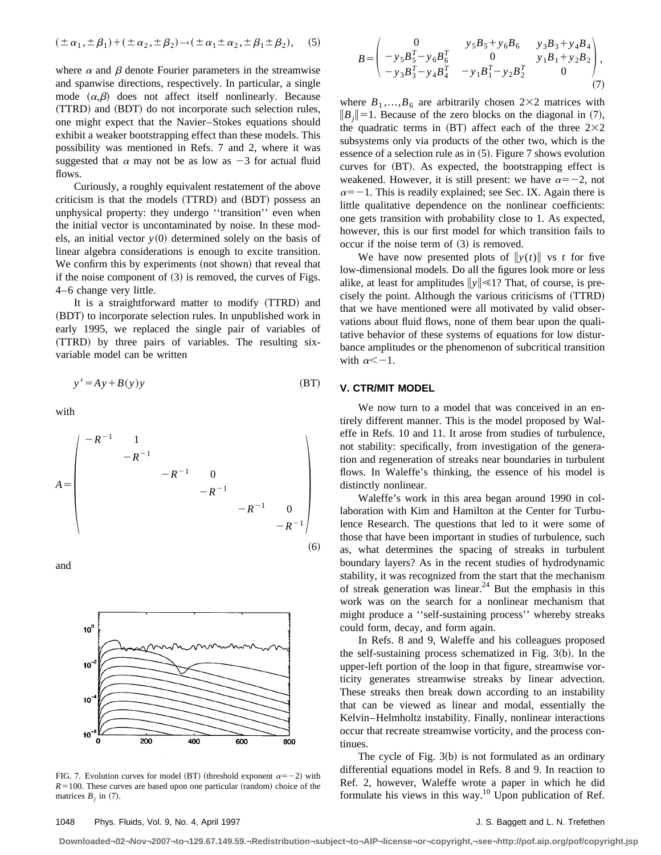$$
(\pm \alpha_1, \pm \beta_1) + (\pm \alpha_2, \pm \beta_2) \rightarrow (\pm \alpha_1 \pm \alpha_2, \pm \beta_1 \pm \beta_2),
$$
 (5)

where  $\alpha$  and  $\beta$  denote Fourier parameters in the streamwise and spanwise directions, respectively. In particular, a single mode  $(\alpha, \beta)$  does not affect itself nonlinearly. Because (TTRD) and (BDT) do not incorporate such selection rules, one might expect that the Navier–Stokes equations should exhibit a weaker bootstrapping effect than these models. This possibility was mentioned in Refs. 7 and 2, where it was suggested that  $\alpha$  may not be as low as  $-3$  for actual fluid flows.

Curiously, a roughly equivalent restatement of the above criticism is that the models (TTRD) and (BDT) possess an unphysical property: they undergo ''transition'' even when the initial vector is uncontaminated by noise. In these models, an initial vector  $y(0)$  determined solely on the basis of linear algebra considerations is enough to excite transition. We confirm this by experiments (not shown) that reveal that if the noise component of  $(3)$  is removed, the curves of Figs. 4–6 change very little.

It is a straightforward matter to modify (TTRD) and (BDT) to incorporate selection rules. In unpublished work in early 1995, we replaced the single pair of variables of (TTRD) by three pairs of variables. The resulting sixvariable model can be written

$$
y' = Ay + B(y)y
$$
 (BT)

with

$$
A = \begin{pmatrix} -R^{-1} & 1 & & & & \\ & -R^{-1} & & & & \\ & & -R^{-1} & 0 & & \\ & & & -R^{-1} & 0 & \\ & & & & -R^{-1} & \\ & & & & & -R^{-1} \end{pmatrix}
$$
 (6)

and



FIG. 7. Evolution curves for model (BT) (threshold exponent  $\alpha = -2$ ) with  $R=100$ . These curves are based upon one particular (random) choice of the matrices  $B_i$  in (7).

$$
B = \begin{pmatrix} 0 & y_5 B_5 + y_6 B_6 & y_3 B_3 + y_4 B_4 \\ -y_5 B_5^T - y_6 B_6^T & 0 & y_1 B_1 + y_2 B_2 \\ -y_3 B_3^T - y_4 B_4^T & -y_1 B_1^T - y_2 B_2^T & 0 \end{pmatrix},
$$
(7)

where  $B_1$ ,..., $B_6$  are arbitrarily chosen 2×2 matrices with  $||B_i||=1$ . Because of the zero blocks on the diagonal in (7), the quadratic terms in  $(BT)$  affect each of the three  $2\times2$ subsystems only via products of the other two, which is the essence of a selection rule as in  $(5)$ . Figure 7 shows evolution curves for (BT). As expected, the bootstrapping effect is weakened. However, it is still present: we have  $\alpha=-2$ , not  $\alpha = -1$ . This is readily explained; see Sec. IX. Again there is little qualitative dependence on the nonlinear coefficients: one gets transition with probability close to 1. As expected, however, this is our first model for which transition fails to occur if the noise term of  $(3)$  is removed.

We have now presented plots of  $\|y(t)\|$  vs *t* for five low-dimensional models. Do all the figures look more or less alike, at least for amplitudes  $\|y\| \leq 1$ ? That, of course, is precisely the point. Although the various criticisms of  $(TTRD)$ that we have mentioned were all motivated by valid observations about fluid flows, none of them bear upon the qualitative behavior of these systems of equations for low disturbance amplitudes or the phenomenon of subcritical transition with  $\alpha < -1$ .

# **V. CTR/MIT MODEL**

We now turn to a model that was conceived in an entirely different manner. This is the model proposed by Waleffe in Refs. 10 and 11. It arose from studies of turbulence, not stability: specifically, from investigation of the generation and regeneration of streaks near boundaries in turbulent flows. In Waleffe's thinking, the essence of his model is distinctly nonlinear.

Waleffe's work in this area began around 1990 in collaboration with Kim and Hamilton at the Center for Turbulence Research. The questions that led to it were some of those that have been important in studies of turbulence, such as, what determines the spacing of streaks in turbulent boundary layers? As in the recent studies of hydrodynamic stability, it was recognized from the start that the mechanism of streak generation was linear.<sup>24</sup> But the emphasis in this work was on the search for a nonlinear mechanism that might produce a ''self-sustaining process'' whereby streaks could form, decay, and form again.

In Refs. 8 and 9, Waleffe and his colleagues proposed the self-sustaining process schematized in Fig.  $3(b)$ . In the upper-left portion of the loop in that figure, streamwise vorticity generates streamwise streaks by linear advection. These streaks then break down according to an instability that can be viewed as linear and modal, essentially the Kelvin–Helmholtz instability. Finally, nonlinear interactions occur that recreate streamwise vorticity, and the process continues.

The cycle of Fig.  $3(b)$  is not formulated as an ordinary differential equations model in Refs. 8 and 9. In reaction to Ref. 2, however, Waleffe wrote a paper in which he did formulate his views in this way. $10$  Upon publication of Ref.

**Downloaded¬02¬Nov¬2007¬to¬129.67.149.59.¬Redistribution¬subject¬to¬AIP¬license¬or¬copyright,¬see¬http://pof.aip.org/pof/copyright.jsp**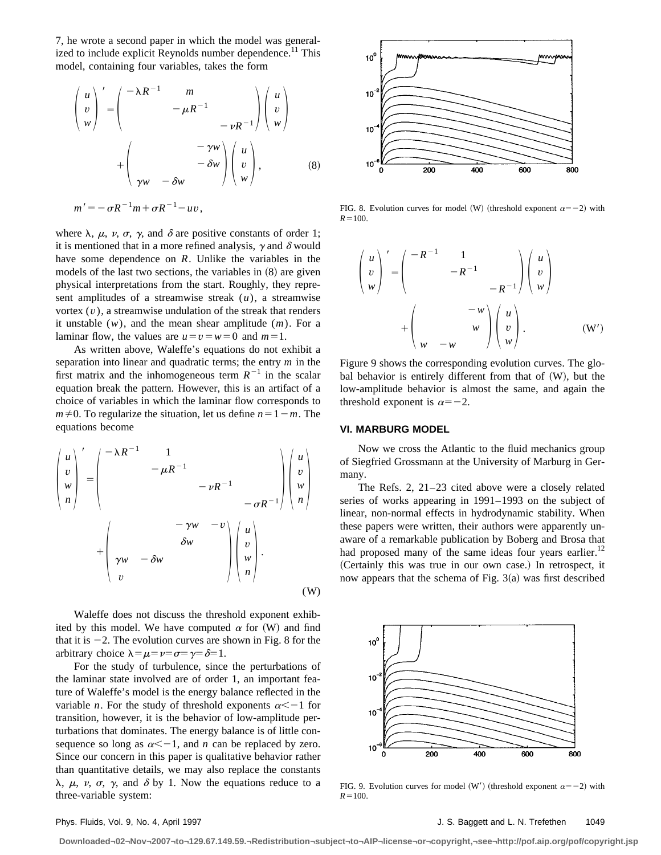7, he wrote a second paper in which the model was generalized to include explicit Reynolds number dependence.<sup>11</sup> This model, containing four variables, takes the form

$$
\begin{pmatrix}\nu \\ v \\ w \end{pmatrix}' = \begin{pmatrix}\n-\lambda R^{-1} & m & & \\
& -\mu R^{-1} & & \\
& & -\nu R^{-1} \end{pmatrix} \begin{pmatrix}\nu \\ v \\ w \end{pmatrix}
$$
\n
$$
+ \begin{pmatrix}\n& -\gamma w \\
\gamma w & -\delta w\n\end{pmatrix} \begin{pmatrix}\nu \\ v \\ w \end{pmatrix}, \qquad (8)
$$

$$
m'=-\sigma R^{-1}m+\sigma R^{-1}-uv,
$$

where  $\lambda$ ,  $\mu$ ,  $\nu$ ,  $\sigma$ ,  $\gamma$ , and  $\delta$  are positive constants of order 1; it is mentioned that in a more refined analysis,  $\gamma$  and  $\delta$  would have some dependence on *R*. Unlike the variables in the models of the last two sections, the variables in  $(8)$  are given physical interpretations from the start. Roughly, they represent amplitudes of a streamwise streak (*u*), a streamwise vortex (*v*), a streamwise undulation of the streak that renders it unstable (*w*), and the mean shear amplitude (*m*). For a laminar flow, the values are  $u=v=w=0$  and  $m=1$ .

As written above, Waleffe's equations do not exhibit a separation into linear and quadratic terms; the entry *m* in the first matrix and the inhomogeneous term  $R^{-1}$  in the scalar equation break the pattern. However, this is an artifact of a choice of variables in which the laminar flow corresponds to  $m \neq 0$ . To regularize the situation, let us define  $n=1-m$ . The equations become

$$
\begin{pmatrix}\nu \\ v \\ w \\ n \end{pmatrix}' = \begin{pmatrix}\n-\lambda R^{-1} & 1 & & & \\
& -\mu R^{-1} & & & \\
& & -\nu R^{-1} & & \\
& & & -\sigma R^{-1}\n\end{pmatrix}\begin{pmatrix}\nu \\ v \\ w \\ n \end{pmatrix} + \begin{pmatrix}\n& & \\
\gamma w & -\delta w & & \\
v & & & \\
v & & & \\
v & & & \n\end{pmatrix}\begin{pmatrix}\nu \\ v \\ w \\ n \end{pmatrix}.
$$
\n(W)

Waleffe does not discuss the threshold exponent exhibited by this model. We have computed  $\alpha$  for (W) and find that it is  $-2$ . The evolution curves are shown in Fig. 8 for the arbitrary choice  $\lambda = \mu = \nu = \sigma = \gamma = \delta = 1$ .

For the study of turbulence, since the perturbations of the laminar state involved are of order 1, an important feature of Waleffe's model is the energy balance reflected in the variable *n*. For the study of threshold exponents  $\alpha < -1$  for transition, however, it is the behavior of low-amplitude perturbations that dominates. The energy balance is of little consequence so long as  $\alpha < -1$ , and *n* can be replaced by zero. Since our concern in this paper is qualitative behavior rather than quantitative details, we may also replace the constants  $\lambda$ ,  $\mu$ ,  $\nu$ ,  $\sigma$ ,  $\gamma$ , and  $\delta$  by 1. Now the equations reduce to a three-variable system:



FIG. 8. Evolution curves for model (W) (threshold exponent  $\alpha = -2$ ) with  $R=100$ .

$$
\begin{pmatrix} u \\ v \\ w \end{pmatrix}' = \begin{pmatrix} -R^{-1} & 1 \\ & -R^{-1} \\ & & -R^{-1} \end{pmatrix} \begin{pmatrix} u \\ v \\ w \end{pmatrix}
$$

$$
+ \begin{pmatrix} -w \\ w \\ w - w \end{pmatrix} \begin{pmatrix} u \\ v \\ w \end{pmatrix}.
$$
 (W')

Figure 9 shows the corresponding evolution curves. The global behavior is entirely different from that of  $(W)$ , but the low-amplitude behavior is almost the same, and again the threshold exponent is  $\alpha=-2$ .

### **VI. MARBURG MODEL**

Now we cross the Atlantic to the fluid mechanics group of Siegfried Grossmann at the University of Marburg in Germany.

The Refs. 2, 21–23 cited above were a closely related series of works appearing in 1991–1993 on the subject of linear, non-normal effects in hydrodynamic stability. When these papers were written, their authors were apparently unaware of a remarkable publication by Boberg and Brosa that had proposed many of the same ideas four years earlier.<sup>12</sup> (Certainly this was true in our own case.) In retrospect, it now appears that the schema of Fig.  $3(a)$  was first described



FIG. 9. Evolution curves for model (W') (threshold exponent  $\alpha = -2$ ) with  $R=100$ .

Phys. Fluids, Vol. 9, No. 4, April 1997 **Matter and L. N. Trefethen** 1049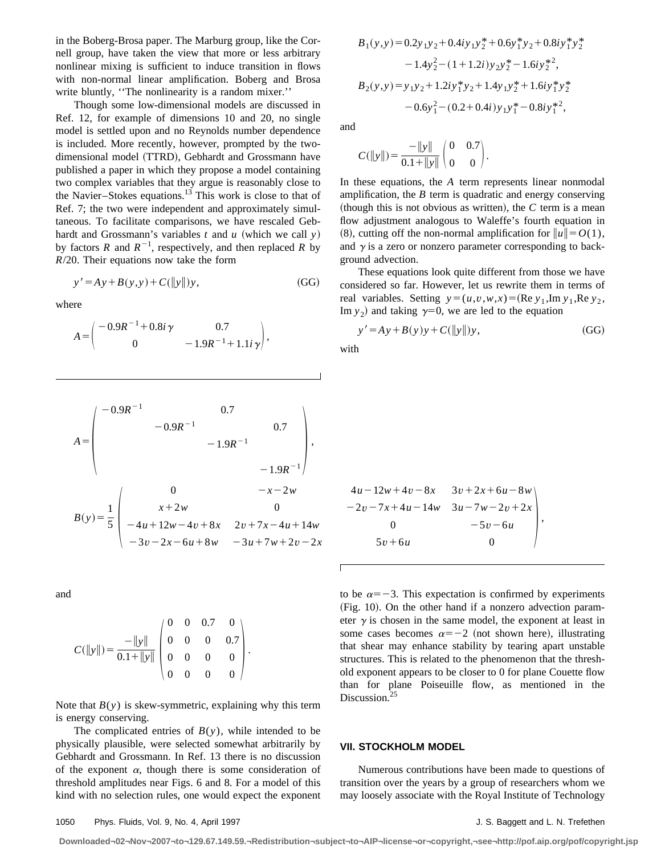in the Boberg-Brosa paper. The Marburg group, like the Cornell group, have taken the view that more or less arbitrary nonlinear mixing is sufficient to induce transition in flows with non-normal linear amplification. Boberg and Brosa write bluntly, "The nonlinearity is a random mixer."

Though some low-dimensional models are discussed in Ref. 12, for example of dimensions 10 and 20, no single model is settled upon and no Reynolds number dependence is included. More recently, however, prompted by the twodimensional model (TTRD), Gebhardt and Grossmann have published a paper in which they propose a model containing two complex variables that they argue is reasonably close to the Navier–Stokes equations. $13$  This work is close to that of Ref. 7; the two were independent and approximately simultaneous. To facilitate comparisons, we have rescaled Gebhardt and Grossmann's variables  $t$  and  $u$  (which we call  $y$ ) by factors *R* and  $R^{-1}$ , respectively, and then replaced *R* by *R*/20. Their equations now take the form

$$
y' = Ay + B(y, y) + C(||y||)y,
$$
 (GG)

where

$$
A = \begin{pmatrix} -0.9R^{-1} + 0.8i\,\gamma & 0.7\\ 0 & -1.9R^{-1} + 1.1i\,\gamma \end{pmatrix},
$$

$$
A = \begin{pmatrix} -0.9R^{-1} & 0.7 \\ -0.9R^{-1} & 0.7 \\ -1.9R^{-1} & -1.9R^{-1} \end{pmatrix},
$$
  
\n
$$
B(y) = \frac{1}{5} \begin{pmatrix} 0 & -x - 2w \\ x + 2w & 0 \\ -4u + 12w - 4v + 8x & 2v + 7x - 4u + 14w \\ -3v - 2x - 6u + 8w & -3u + 7w + 2v - 2x \end{pmatrix}
$$

and

$$
C(\|y\|) = \frac{-\|y\|}{0.1 + \|y\|} \begin{pmatrix} 0 & 0 & 0.7 & 0 \\ 0 & 0 & 0 & 0.7 \\ 0 & 0 & 0 & 0 \\ 0 & 0 & 0 & 0 \end{pmatrix}.
$$

Note that  $B(y)$  is skew-symmetric, explaining why this term is energy conserving.

The complicated entries of  $B(y)$ , while intended to be physically plausible, were selected somewhat arbitrarily by Gebhardt and Grossmann. In Ref. 13 there is no discussion of the exponent  $\alpha$ , though there is some consideration of threshold amplitudes near Figs. 6 and 8. For a model of this kind with no selection rules, one would expect the exponent

$$
B_1(y,y) = 0.2y_1y_2 + 0.4iy_1y_2^* + 0.6y_1^*y_2 + 0.8iy_1^*y_2^*
$$
  
\n
$$
-1.4y_2^2 - (1+1.2i)y_2y_2^* - 1.6iy_2^*^2,
$$
  
\n
$$
B_2(y,y) = y_1y_2 + 1.2iy_1^*y_2 + 1.4y_1y_2^* + 1.6iy_1^*y_2^*
$$
  
\n
$$
-0.6y_1^2 - (0.2+0.4i)y_1y_1^* - 0.8iy_1^*^2,
$$

and

$$
C(\|y\|) = \frac{-\|y\|}{0.1 + \|y\|} \begin{pmatrix} 0 & 0.7 \\ 0 & 0 \end{pmatrix}.
$$

In these equations, the *A* term represents linear nonmodal amplification, the *B* term is quadratic and energy conserving (though this is not obvious as written), the  $C$  term is a mean flow adjustment analogous to Waleffe's fourth equation in  $(8)$ , cutting off the non-normal amplification for  $||u|| = O(1)$ , and  $\gamma$  is a zero or nonzero parameter corresponding to background advection.

These equations look quite different from those we have considered so far. However, let us rewrite them in terms of real variables. Setting  $y=(u,v,w,x)=(\text{Re }y_1,\text{Im }y_1,\text{Re }y_2,$ Im  $y_2$ ) and taking  $\gamma=0$ , we are led to the equation

$$
y' = Ay + B(y)y + C(||y||)y,
$$
 (GG)

with

 $4u - 12w + 4v - 8x$   $3v + 2x + 6u - 8w$  $-2v-7x+4u-14w$  3*u*-7*w*-2*v*+2*x* 0  $-5v-6u$ ,  $5v + 6u$ 

to be  $\alpha = -3$ . This expectation is confirmed by experiments  $(Fig. 10)$ . On the other hand if a nonzero advection parameter  $\gamma$  is chosen in the same model, the exponent at least in some cases becomes  $\alpha = -2$  (not shown here), illustrating that shear may enhance stability by tearing apart unstable structures. This is related to the phenomenon that the threshold exponent appears to be closer to 0 for plane Couette flow than for plane Poiseuille flow, as mentioned in the Discussion.<sup>25</sup>

### **VII. STOCKHOLM MODEL**

Numerous contributions have been made to questions of transition over the years by a group of researchers whom we may loosely associate with the Royal Institute of Technology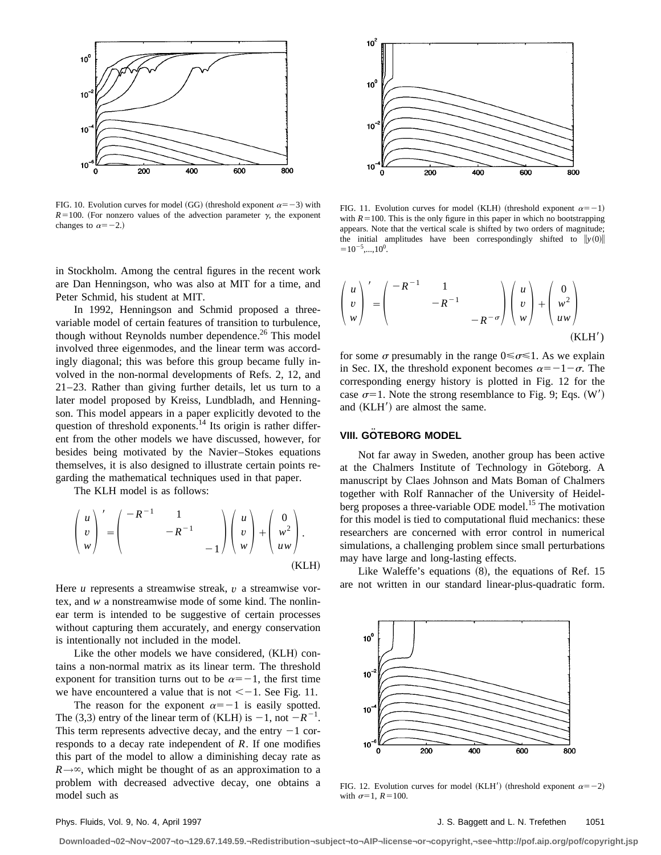

FIG. 10. Evolution curves for model (GG) (threshold exponent  $\alpha = -3$ ) with  $R=100$ . (For nonzero values of the advection parameter  $\gamma$ , the exponent changes to  $\alpha=-2.$ )

in Stockholm. Among the central figures in the recent work are Dan Henningson, who was also at MIT for a time, and Peter Schmid, his student at MIT.

In 1992, Henningson and Schmid proposed a threevariable model of certain features of transition to turbulence, though without Reynolds number dependence.<sup>26</sup> This model involved three eigenmodes, and the linear term was accordingly diagonal; this was before this group became fully involved in the non-normal developments of Refs. 2, 12, and 21–23. Rather than giving further details, let us turn to a later model proposed by Kreiss, Lundbladh, and Henningson. This model appears in a paper explicitly devoted to the question of threshold exponents.<sup>14</sup> Its origin is rather different from the other models we have discussed, however, for besides being motivated by the Navier–Stokes equations themselves, it is also designed to illustrate certain points regarding the mathematical techniques used in that paper.

The KLH model is as follows:

$$
\begin{pmatrix} u \\ v \\ w \end{pmatrix}' = \begin{pmatrix} -R^{-1} & 1 \\ & -R^{-1} \\ & & -1 \end{pmatrix} \begin{pmatrix} u \\ v \\ w \end{pmatrix} + \begin{pmatrix} 0 \\ w^2 \\ uw \end{pmatrix}.
$$
\n(KLH)

Here *u* represents a streamwise streak, *v* a streamwise vortex, and *w* a nonstreamwise mode of some kind. The nonlinear term is intended to be suggestive of certain processes without capturing them accurately, and energy conservation is intentionally not included in the model.

Like the other models we have considered,  $(KLH)$  contains a non-normal matrix as its linear term. The threshold exponent for transition turns out to be  $\alpha=-1$ , the first time we have encountered a value that is not  $<-1$ . See Fig. 11.

The reason for the exponent  $\alpha=-1$  is easily spotted. The (3,3) entry of the linear term of (KLH) is  $-1$ , not  $-R^{-1}$ . This term represents advective decay, and the entry  $-1$  corresponds to a decay rate independent of *R*. If one modifies this part of the model to allow a diminishing decay rate as  $R\rightarrow\infty$ , which might be thought of as an approximation to a problem with decreased advective decay, one obtains a model such as



FIG. 11. Evolution curves for model (KLH) (threshold exponent  $\alpha=-1$ ) with  $R=100$ . This is the only figure in this paper in which no bootstrapping appears. Note that the vertical scale is shifted by two orders of magnitude; the initial amplitudes have been correspondingly shifted to  $\|y(0)\|$  $=10^{-5}$ ,...,10<sup>0</sup>.

$$
\begin{pmatrix} u \\ v \\ w \end{pmatrix}' = \begin{pmatrix} -R^{-1} & 1 \\ & -R^{-1} \\ & & -R^{-\sigma} \end{pmatrix} \begin{pmatrix} u \\ v \\ w \end{pmatrix} + \begin{pmatrix} 0 \\ w^2 \\ uw \end{pmatrix}
$$
\n(KLH')

for some  $\sigma$  presumably in the range  $0 \le \sigma \le 1$ . As we explain in Sec. IX, the threshold exponent becomes  $\alpha=-1-\sigma$ . The corresponding energy history is plotted in Fig. 12 for the case  $\sigma=1$ . Note the strong resemblance to Fig. 9; Eqs. (W') and  $(KLH')$  are almost the same.

# **VIII. GOTEBORG MODEL**

Not far away in Sweden, another group has been active at the Chalmers Institute of Technology in Göteborg. A manuscript by Claes Johnson and Mats Boman of Chalmers together with Rolf Rannacher of the University of Heidelberg proposes a three-variable ODE model.<sup>15</sup> The motivation for this model is tied to computational fluid mechanics: these researchers are concerned with error control in numerical simulations, a challenging problem since small perturbations may have large and long-lasting effects.

Like Waleffe's equations  $(8)$ , the equations of Ref. 15 are not written in our standard linear-plus-quadratic form.



FIG. 12. Evolution curves for model (KLH<sup>'</sup>) (threshold exponent  $\alpha = -2$ ) with  $\sigma=1$ ,  $R=100$ .

Phys. Fluids, Vol. 9, No. 4, April 1997 **Matter and Strutter and Strutter and Strutter and Strutter and Strutter Activities**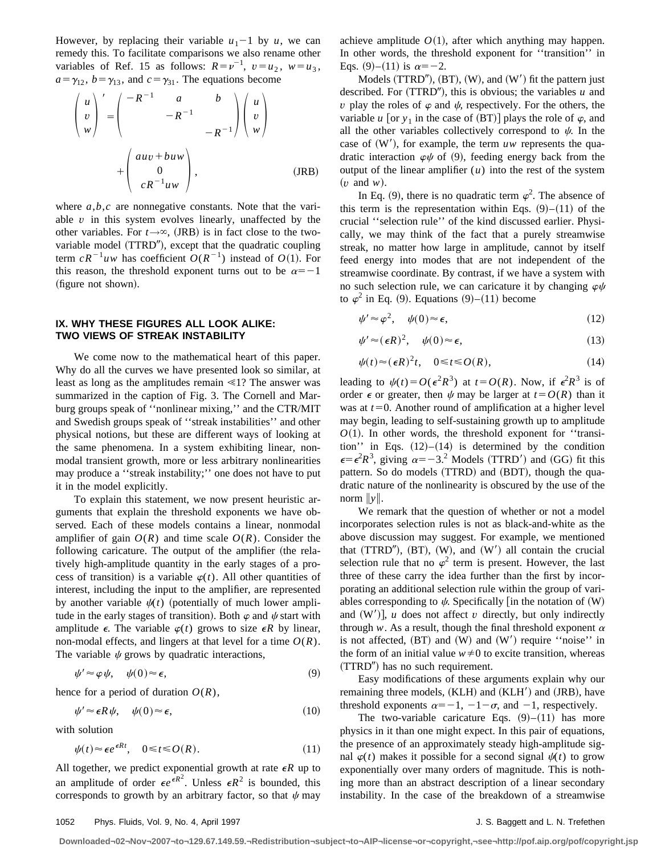However, by replacing their variable  $u_1$ -1 by *u*, we can remedy this. To facilitate comparisons we also rename other variables of Ref. 15 as follows:  $R = v^{-1}$ ,  $v = u_2$ ,  $w = u_3$ ,  $a=\gamma_{12}$ ,  $b=\gamma_{13}$ , and  $c=\gamma_{31}$ . The equations become

$$
\begin{pmatrix} u \\ v \\ w \end{pmatrix}' = \begin{pmatrix} -R^{-1} & a & b \\ -R^{-1} & \\ & -R^{-1} \end{pmatrix} \begin{pmatrix} u \\ v \\ w \end{pmatrix}
$$

$$
+ \begin{pmatrix} auv + buw \\ 0 \\ cR^{-1}uw \end{pmatrix}, \qquad (JRB)
$$

where  $a,b,c$  are nonnegative constants. Note that the variable *v* in this system evolves linearly, unaffected by the other variables. For  $t \rightarrow \infty$ , (JRB) is in fact close to the twovariable model (TTRD<sup>"</sup>), except that the quadratic coupling term  $cR^{-1}uw$  has coefficient  $O(R^{-1})$  instead of  $O(1)$ . For this reason, the threshold exponent turns out to be  $\alpha=-1$ (figure not shown).

# **IX. WHY THESE FIGURES ALL LOOK ALIKE: TWO VIEWS OF STREAK INSTABILITY**

We come now to the mathematical heart of this paper. Why do all the curves we have presented look so similar, at least as long as the amplitudes remain  $\leq 1$ ? The answer was summarized in the caption of Fig. 3. The Cornell and Marburg groups speak of ''nonlinear mixing,'' and the CTR/MIT and Swedish groups speak of ''streak instabilities'' and other physical notions, but these are different ways of looking at the same phenomena. In a system exhibiting linear, nonmodal transient growth, more or less arbitrary nonlinearities may produce a ''streak instability;'' one does not have to put it in the model explicitly.

To explain this statement, we now present heuristic arguments that explain the threshold exponents we have observed. Each of these models contains a linear, nonmodal amplifier of gain  $O(R)$  and time scale  $O(R)$ . Consider the following caricature. The output of the amplifier (the relatively high-amplitude quantity in the early stages of a process of transition) is a variable  $\varphi(t)$ . All other quantities of interest, including the input to the amplifier, are represented by another variable  $\psi(t)$  (potentially of much lower amplitude in the early stages of transition). Both  $\varphi$  and  $\psi$  start with amplitude  $\epsilon$ . The variable  $\varphi(t)$  grows to size  $\epsilon R$  by linear, non-modal effects, and lingers at that level for a time  $O(R)$ . The variable  $\psi$  grows by quadratic interactions,

$$
\psi' \approx \varphi \psi, \quad \psi(0) \approx \epsilon,
$$
\n(9)

hence for a period of duration  $O(R)$ ,

$$
\psi' \approx \epsilon R \psi, \quad \psi(0) \approx \epsilon,
$$
\n(10)

with solution

$$
\psi(t) \approx \epsilon e^{\epsilon R t}, \quad 0 \le t \le O(R). \tag{11}
$$

All together, we predict exponential growth at rate  $\epsilon R$  up to an amplitude of order  $\epsilon e^{\epsilon R^2}$ . Unless  $\epsilon R^2$  is bounded, this corresponds to growth by an arbitrary factor, so that  $\psi$  may achieve amplitude  $O(1)$ , after which anything may happen. In other words, the threshold exponent for ''transition'' in Eqs. (9)–(11) is  $\alpha = -2$ .

Models  $(TTRD'')$ ,  $(BT)$ ,  $(W)$ , and  $(W')$  fit the pattern just described. For  $(TTRD'')$ , this is obvious; the variables  $u$  and *v* play the roles of  $\varphi$  and  $\psi$ , respectively. For the others, the variable *u* [or  $y_1$  in the case of (BT)] plays the role of  $\varphi$ , and all the other variables collectively correspond to  $\psi$ . In the case of  $(W')$ , for example, the term  $uw$  represents the quadratic interaction  $\varphi\psi$  of (9), feeding energy back from the output of the linear amplifier  $(u)$  into the rest of the system  $(v \text{ and } w).$ 

In Eq. (9), there is no quadratic term  $\varphi^2$ . The absence of this term is the representation within Eqs.  $(9)$ – $(11)$  of the crucial ''selection rule'' of the kind discussed earlier. Physically, we may think of the fact that a purely streamwise streak, no matter how large in amplitude, cannot by itself feed energy into modes that are not independent of the streamwise coordinate. By contrast, if we have a system with no such selection rule, we can caricature it by changing  $\varphi\psi$ to  $\varphi^2$  in Eq. (9). Equations (9)–(11) become

$$
\psi' \approx \varphi^2, \quad \psi(0) \approx \epsilon, \tag{12}
$$

$$
\psi' \approx (\epsilon R)^2, \quad \psi(0) \approx \epsilon, \tag{13}
$$

$$
\psi(t) \approx (\epsilon R)^2 t, \quad 0 \le t \le O(R), \tag{14}
$$

leading to  $\psi(t) = O(\epsilon^2 R^3)$  at  $t = O(R)$ . Now, if  $\epsilon^2 R^3$  is of order  $\epsilon$  or greater, then  $\psi$  may be larger at  $t = O(R)$  than it was at  $t=0$ . Another round of amplification at a higher level may begin, leading to self-sustaining growth up to amplitude  $O(1)$ . In other words, the threshold exponent for "transition'' in Eqs.  $(12)$ – $(14)$  is determined by the condition  $\epsilon = \epsilon^2 R^3$ , giving  $\alpha = -3$ .<sup>2</sup> Models (TTRD<sup>'</sup>) and (GG) fit this pattern. So do models (TTRD) and (BDT), though the quadratic nature of the nonlinearity is obscured by the use of the norm  $\|y\|$ .

We remark that the question of whether or not a model incorporates selection rules is not as black-and-white as the above discussion may suggest. For example, we mentioned that  $(TTRD'')$ ,  $(BT)$ ,  $(W)$ , and  $(W')$  all contain the crucial selection rule that no  $\varphi^2$  term is present. However, the last three of these carry the idea further than the first by incorporating an additional selection rule within the group of variables corresponding to  $\psi$ . Specifically [in the notation of (W) and  $(W')$ , *u* does not affect *v* directly, but only indirectly through *w*. As a result, though the final threshold exponent  $\alpha$ is not affected,  $(BT)$  and  $(W)$  and  $(W')$  require ''noise'' in the form of an initial value  $w \neq 0$  to excite transition, whereas  $(TTRD'')$  has no such requirement.

Easy modifications of these arguments explain why our remaining three models, (KLH) and (KLH') and (JRB), have threshold exponents  $\alpha=-1$ ,  $-1-\sigma$ , and  $-1$ , respectively.

The two-variable caricature Eqs.  $(9)$ – $(11)$  has more physics in it than one might expect. In this pair of equations, the presence of an approximately steady high-amplitude signal  $\varphi(t)$  makes it possible for a second signal  $\psi(t)$  to grow exponentially over many orders of magnitude. This is nothing more than an abstract description of a linear secondary instability. In the case of the breakdown of a streamwise